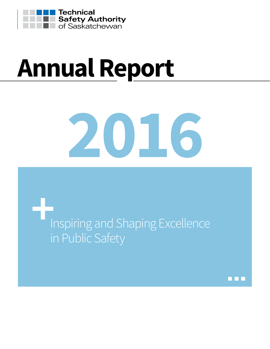

## **Annual Report**



**Hinspiring and Shaping Excellence** in Public Safety

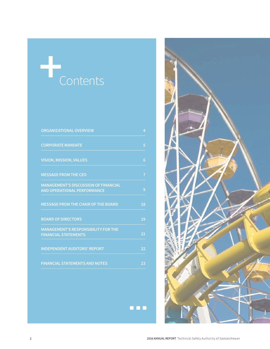## **+**Contents

| <b>ORGANIZATIONAL OVERVIEW</b>                                                    | 4  |
|-----------------------------------------------------------------------------------|----|
| <b>CORPORATE MANDATE</b>                                                          | 5  |
| <b>VISION, MISSION, VALUES</b>                                                    | 6  |
| <b>MESSAGE FROM THE CEO</b>                                                       | 7  |
| <b>MANAGEMENT'S DISCUSSION OF FINANCIAL</b><br><b>AND OPERATIONAL PERFORMANCE</b> | 9  |
| <b>MESSAGE FROM THE CHAIR OF THE BOARD</b>                                        | 18 |
| <b>BOARD OF DIRECTORS</b>                                                         | 19 |
| <b>MANAGEMENT'S RESPONSIBILITY FOR THE</b><br><b>FINANCIAL STATEMENTS</b>         | 21 |
| <b>INDEPENDENT AUDITORS' REPORT</b>                                               | 22 |
| <b>FINANCIAL STATEMENTS AND NOTES</b>                                             | 23 |



2016 ANNUAL REPORT Technical Safety Authority of Saskatchewan

88 B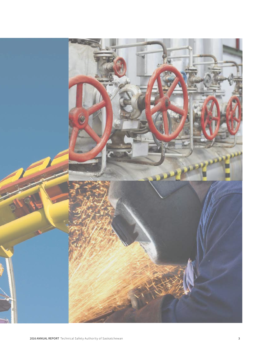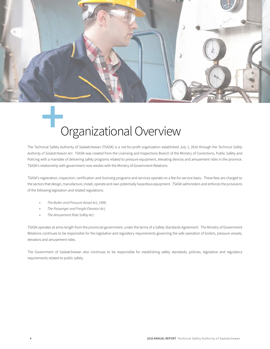

### Organizational Overview

The Technical Safety Authority of Saskatchewan (TSASK) is a not-for-profit organization established July 1, 2010 through the *Technical Safety Authority of Saskatchewan Act*. TSASK was created from the Licensing and Inspections Branch of the Ministry of Corrections, Public Safety and Policing with a mandate of delivering safety programs related to pressure equipment, elevating devices and amusement rides in the province. TSASK's relationship with government now resides with the Ministry of Government Relations.

TSASK's registration, inspection, certification and licensing programs and services operate on a fee-for-service basis. These fees are charged to the sectors that design, manufacture, install, operate and own potentially hazardous equipment. TSASK administers and enforces the provisions of the following legislation and related regulations:

- The Boiler and Pressure Vessel Act, 1999;
- The Passenger and Freight Elevator Act;
- • *The Amusement Ride Safety Act.*

TSASK operates at arms-length from the provincial government, under the terms of a Safety Standards Agreement. The Ministry of Government Relations continues to be responsible for the legislative and regulatory requirements governing the safe operation of boilers, pressure vessels, elevators and amusement rides.

The Government of Saskatchewan also continues to be responsible for establishing safety standards, policies, legislative and regulatory requirements related to public safety.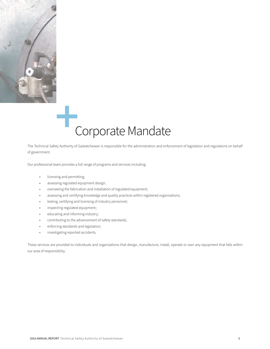

### Corporate Mandate

The Technical Safety Authority of Saskatchewan is responsible for the administration and enforcement of legislation and regulations on behalf of government.

Our professional team provides a full range of programs and services including:

- licensing and permitting;
- • assessing regulated equipment design;
- overseeing the fabrication and installation of regulated equipment;
- assessing and certifying knowledge and quality practices within registered organizations;
- testing, certifying and licensing of industry personnel;
- • inspecting regulated equipment;
- educating and informing industry;
- contributing to the advancement of safety standards;
- • enforcing standards and legislation;
- • investigating reported accidents.

These services are provided to individuals and organizations that design, manufacture, install, operate or own any equipment that falls within our area of responsibility.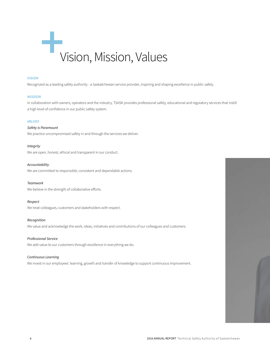

### *VISION*

Recognized as a leading safety authority - a Saskatchewan service provider, inspiring and shaping excellence in public safety.<br>'

### *MISSION*

In collaboration with owners, operators and the industry, TSASK provides professional safety, educational and regulatory services that instill a high level of confidence in our public safety system.

### *VALUES*

### *Safety is Paramount*

We practice uncompromised safety in and through the services we deliver.

### *Integrity*

We are open, honest, ethical and transparent in our conduct.

### *Accountability*

We are committed to responsible, consistent and dependable actions.

### *Teamwork*

We believe in the strength of collaborative efforts.

### *Respect*

We treat colleagues, customers and stakeholders with respect.

### *Recognition*

We value and acknowledge the work, ideas, initiatives and contributions of our colleagues and customers.

### *Professional Service*

We add value to our customers through excellence in everything we do.

### *Continuous Learning*

We invest in our employees' learning, growth and transfer of knowledge to support continuous improvement.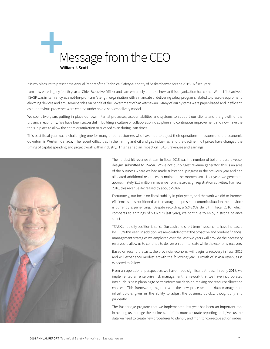

It is my pleasure to present the Annual Report of the Technical Safety Authority of Saskatchewan for the 2015-16 fiscal year.

I am now entering my fourth year as Chief Executive Officer and I am extremely proud of how far this organization has come. When I first arrived, TSASK was in its infancy as a not-for-profit arm's length organization with a mandate of delivering safety programs related to pressure equipment, elevating devices and amusement rides on behalf of the Government of Saskatchewan. Many of our systems were paper-based and inefficient, as our previous processes were created under an old service delivery model.

We spent two years putting in place our own internal processes, accountabilities and systems to support our clients and the growth of the provincial economy. We have been successful in building a culture of collaboration, discipline and continuous improvement and now have the tools in place to allow the entire organization to succeed even during lean times.

This past fiscal year was a challenging one for many of our customers who have had to adjust their operations in response to the economic downturn in Western Canada. The recent difficulties in the mining and oil and gas industries, and the decline in oil prices have changed the timing of capital spending and project work within industry. This has had an impact on TSASK revenues and earnings.



The hardest hit revenue stream in fiscal 2016 was the number of boiler pressure vessel designs submitted to TSASK. While not our biggest revenue generator, this is an area of the business where we had made substantial progress in the previous year and had allocated additional resources to maintain the momentum. Last year, we generated approximately \$1.3 million in revenue from these design registration activities. For fiscal 2016, this revenue decreased by about 29.0%.

Fortunately, our focus on fiscal stability in prior years, and the work we did to improve efficiencies, has positioned us to manage the present economic situation the province is currently experiencing. Despite recording a \$248,939 deficit in fiscal 2016 (which compares to earnings of \$337,928 last year), we continue to enjoy a strong balance sheet.

TSASK's liquidity position is solid. Our cash and short-term investments have increased by 11.0% this year. In addition, we are confident that the proactive and prudent financial management strategies we employed over the last two years will provide the necessary reserves to allow us to continue to deliver on our mandate while the economy recovers.

Based on recent forecasts, the provincial economy will begin its recovery in fiscal 2017 and will experience modest growth the following year. Growth of TSASK revenues is expected to follow.

From an operational perspective, we have made significant strides. In early 2016, we implemented an enterprise risk management framework that we have incorporated into our business planning to better inform our decision-making and resource allocation choices. This framework, together with the new processes and data management infrastructure, gives us the ability to adjust the business quickly, thoughtfully and prudently.

The Basebridge program that we implemented last year has been an important tool in helping us manage the business. It offers more accurate reporting and gives us the data we need to create new procedures to identify and monitor corrective action orders.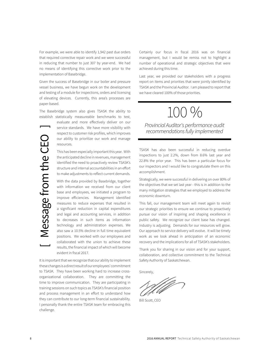For example, we were able to identify 1,942 past due orders that required corrective repair work and we were successful in reducing that number to just 307 by year-end. We had no means of identifying this corrective work prior to the implementation of Basebridge.

Given the success of Basebridge in our boiler and pressure vessel business, we have begun work on the development and testing of a module for inspections, orders and licensing of elevating devices. Currently, this area's processes are paper-based.

The Basebridge system also gives TSASK the ability to establish statistically measureable benchmarks to test,

[ Message from the CEO ] Message from the CEO

evaluate and more effectively deliver on our service standards. We have more visibility with respect to customer risk profiles, which improves our ability to prioritize our work and manage resources.

This has been especially important this year. With the anticipated decline in revenues, management identified the need to proactively review TSASK's structure and internal accountabilities in an effort to make adjustments to reflect current demands.

With the data provided by Basebridge, together with information we received from our client base and employees, we initiated a program to improve efficiencies. Management identified measures to reduce expenses that resulted in a significant reduction in capital expenditures and legal and accounting services, in addition to decreases in such items as information technology and administration expenses. We also saw a 10.5% decline in full time equivalent positions. We worked with our employees and collaborated with the union to achieve these results, the financial impact of which will become evident in fiscal 2017.

It is important that we recognize that our ability to implement these changes is a direct result of our employees' commitment to TSASK. They have been working hard to increase crossorganizational collaboration. They are committing the time to improve communication. They are participating in training sessions on such topics as TSASK's financial position and process management in an effort to understand how they can contribute to our long-term financial sustainability. I personally thank the entire TSASK team for embracing this challenge.

Certainly our focus in fiscal 2016 was on financial management, but I would be remiss not to highlight a number of operational and strategic objectives that were achieved during this time.

Last year, we provided our stakeholders with a progress report on items and priorities that were jointly identified by TSASK and the Provincial Auditor. I am pleased to report that we have cleared 100% of those priorities.

### 100 %

*Provincial Auditor's performance audit recommendations fully implemented*

TSASK has also been successful in reducing overdue inspections to just 2.2%, down from 8.6% last year and 22.8% the prior year. This has been a particular focus for our inspectors and I would like to congratulate them on this accomplishment.

Strategically, we were successful in delivering on over 80% of the objectives that we set last year - this is in addition to the many mitigation strategies that we employed to address the economic downturn.

This fall, our management team will meet again to revisit our strategic priorities to ensure we continue to proactively pursue our vision of inspiring and shaping excellence in public safety. We recognize our client base has changed. Industry is adjusting. Demands for our resources will grow. Our approach to service delivery will evolve. It will be timely work as we look ahead in anticipation of an economic recovery and the implications for all of TSASK's stakeholders.

Thank you for sharing in our vision and for your support, collaboration, and collective commitment to the Technical Safety Authority of Saskatchewan.

Sincerely,

f ffy

Bill Scott, CEO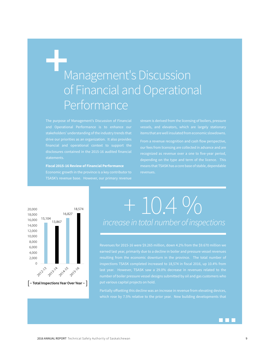### **+**Management's Discussion of Financial and Operational Performance

The purpose of Management's Discussion of Financial and Operational Performance is to enhance our financial and operational context to support the disclosures contained in the 2015-16 audited financial

### **Fiscal 2015-16 Review of Financial Performance**

vessels, and elevators, which are largely stationary

From a revenue recognition and cash flow perspective, recognized as revenue over a one to five-year period, means that TSASK has a core base of stable, dependable



### *increase in total number of inspections* 15,104  $+10.4\%$

resulting from the economic downturn in the province. The total number of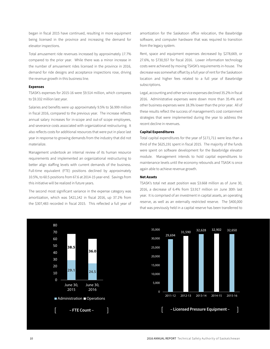began in fiscal 2015 have continued, resulting in more equipment being licensed in the province and increasing the demand for elevator inspections.

Total amusement ride revenues increased by approximately 17.7% compared to the prior year. While there was a minor increase in the number of amusement rides licensed in the province in 2016, demand for ride designs and acceptance inspections rose, driving the revenue growth in this business line.

### **Expenses**

TSASK's expenses for 2015-16 were \$9.514 million, which compares to \$9.332 million last year.

Salaries and benefits were up approximately 9.5% to \$6.999 million in fiscal 2016, compared to the previous year. The increase reflects annual salary increases for in-scope and out-of scope employees, and severance costs associated with organizational restructuring. It also reflects costs for additional resources that were put in place last year in response to growing demands from the industry that did not materialize.

Management undertook an internal review of its human resource requirements and implemented an organizational restructuring to better align staffing levels with current demands of the business. Full-time equivalent (FTE) positions declined by approximately 10.5%, to 60.5 positions from 67.6 at 2014-15 year-end. Savings from this initiative will be realized in future years.

The second most significant variance in the expense category was amortization, which was \$421,142 in fiscal 2016, up 37.1% from the \$307,483 recorded in fiscal 2015. This reflected a full year of

**29.1 24.5**

Administration Operations

**36.0**

June 30, 2016

**38.5**

June 30, 2015

amortization for the Saskatoon office relocation, the Basebridge software, and computer hardware that was required to transition from the legacy system.

Rent, space and equipment expenses decreased by \$278,669, or 27.6%, to \$730,557 for fiscal 2016. Lower information technology costs were achieved by moving TSASK's requirements in-house. The decrease was somewhat offset by a full year of rent for the Saskatoon location and higher fees related to a full year of Basebridge subscriptions.

Legal, accounting and other service expenses declined 35.2% in fiscal 2016. Administrative expenses were down more than 35.4% and other business expenses were 18.3% lower than the prior year. All of these results reflect the success of management's cost containment strategies that were implemented during the year to address the recent decline in revenues.

### **Capital Expenditures**

Total capital expenditures for the year of \$171,711 were less than a third of the \$625,191 spent in fiscal 2015. The majority of the funds were spent on software development for the Basebridge elevator module. Management intends to hold capital expenditures to maintenance levels until the economy rebounds and TSASK is once again able to achieve revenue growth.

### **Net Assets**

TSASK's total net asset position was \$3.668 million as of June 30, 2016, a decrease of 6.4% from \$3.917 million on June 30th last year. It is comprised of an investment in capital assets, an operating reserve, as well as an externally restricted reserve. The \$400,000 that was previously held in a capital reserve has been transferred to

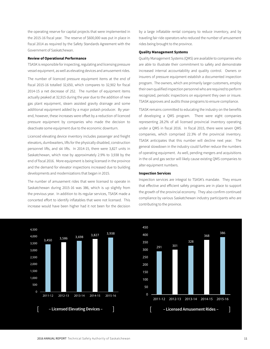TSASK is responsible for inspecting, regulating and licensing pressure vessel equipment, as well as elevating devices and amusement rides.

Government of Saskatchewan.

**Review of Operational Performance**

the operating reserve for capital projects that were implemented in the 2015-16 fiscal year. The reserve of \$600,000 was put in place in fiscal 2014 as required by the Safety Standards Agreement with the

The number of licenced pressure equipment items at the end of fiscal 2015-16 totalled 32,650, which compares to 32,902 for fiscal 2014-15 a net decrease of 252. The number of equipment items actually peaked at 32,915 during the year due to the addition of new gas plant equipment, steam assisted gravity drainage and some additional equipment added by a major potash producer. By yearend, however, these increases were offset by a reduction of licenced pressure equipment by companies who made the decision to deactivate some equipment due to the economic downturn.

Licenced elevating device inventory includes passenger and freight elevators, dumbwaiters, lifts for the physically disabled, construction personnel lifts, and ski lifts. In 2014-15, there were 3,827 units in Saskatchewan, which rose by approximately 2.9% to 3,938 by the end of fiscal 2016. More equipment is being licensed in the province and the demand for elevator inspections increased due to building developments and modernizations that began in 2015.

The number of amusement rides that were licensed to operate in Saskatchewan during 2015-16 was 386, which is up slightly from the previous year. In addition to its regular services, TSASK made a concerted effort to identify inflatables that were not licensed. This increase would have been higher had it not been for the decision by a large inflatable rental company to reduce inventory, and by traveling fair ride operators who reduced the number of amusement rides being brought to the province.

### **Quality Management Systems**

Quality Management Systems (QMS) are available to companies who are able to illustrate their commitment to safety and demonstrate increased internal accountability and quality control. Owners or insurers of pressure equipment establish a documented inspection program. The owners, which are primarily larger customers, employ their own qualified inspection personnel who are required to perform recognized, periodic inspections on equipment they own or insure. TSASK approves and audits those programs to ensure compliance.

TSASK remains committed to educating the industry on the benefits of developing a QMS program. There were eight companies representing 28.2% of all licensed provincial inventory operating under a QMS in fiscal 2016. In fiscal 2015, there were seven QMS companies, which comprised 22.3% of the provincial inventory. TSASK anticipates that this number will decline next year. The general slowdown in the industry could further reduce the numbers of operating equipment. As well, pending mergers and acquisitions in the oil and gas sector will likely cause existing QMS companies to alter equipment numbers.

### **Inspection Services**

Inspection services are integral to TSASK's mandate. They ensure that effective and efficient safety programs are in place to support the growth of the provincial economy. They also confirm continued compliance by various Saskatchewan industry participants who are contributing to the province.



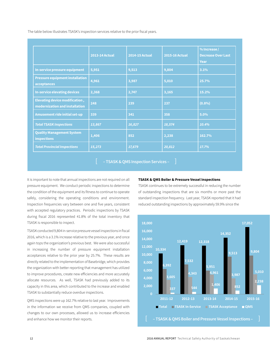The table below illustrates TSASK's inspection services relative to the prior fiscal years.

|                                                                  | <b>2013-14 Actual</b> | <b>2014-15 Actual</b> | <b>2015-16 Actual</b> | % Increase /<br><b>Decrease Over Last</b><br>Year |
|------------------------------------------------------------------|-----------------------|-----------------------|-----------------------|---------------------------------------------------|
| In-service pressure equipment                                    | 5,951                 | 9,513                 | 9,804                 | 3.1%                                              |
| <b>Pressure equipment installation</b><br>acceptances            | 4,961                 | 3,987                 | 5,010                 | 25.7%                                             |
| <b>In-service elevating devices</b>                              | 2,368                 | 2,747                 | 3,165                 | 15.2%                                             |
| Elevating device modification,<br>modernization and installation | 248                   | 239                   | 237                   | (0.8%)                                            |
| Amusement ride initial set-up                                    | 339                   | 341                   | 358                   | 5.0%                                              |
| <b>Total TSASK Inspections</b>                                   | 13,867                | 16,827                | 18,574                | 10.4%                                             |
| <b>Quality Management System</b><br>inspections                  | 1,406                 | 852                   | 2,238                 | 162.7%                                            |
| <b>Total Provincial Inspections</b>                              | 15,273                | 17,679                | 20,812                | 17.7%                                             |

[ **– TSASK & QMS Inspection Services –** ]

It is important to note that annual inspections are not required on all pressure equipment. We conduct periodic inspections to determine the condition of the equipment and its fitness to continue to operate safely, considering the operating conditions and environment. Inspection frequencies vary between one and five years, consistent with accepted regulatory practices. Periodic inspections by TSASK during fiscal 2016 represented 41.8% of the total inventory that TSASK is responsible to inspect.

TSASK conducted 9,804 in-service pressure vessel inspections in fiscal 2016, which is a 3.1% increase relative to the previous year, and once again tops the organization's previous best. We were also successful in increasing the number of pressure equipment installation acceptances relative to the prior year by 25.7%. These results are directly related to the implementation of Basebridge, which provides the organization with better reporting that management has utilized to improve procedures, create new efficiencies and more accurately allocate resources. As well, TSASK had previously added to its capacity in this area, which contributed to the increase and enabled TSASK to substantially reduce overdue inspections.

*Licenced Elevating Devices* changes to our own processes, allowed us to increase efficiencies QMS inspections were up 162.7% relative to last year. Improvements in the information we receive from QMS companies, coupled with and enhance how we monitor their reports.

### **TSASK & QMS Boiler & Pressure Vessel Inspections**

TSASK continues to be extremely successful in reducing the number of outstanding inspections that are six months or more past the standard inspection frequency. Last year, TSASK reported that it had reduced outstanding inspections by approximately 59.9% since the

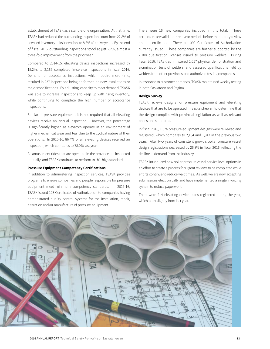establishment of TSASK as a stand-alone organization. At that time, TSASK had reduced the outstanding inspection count from 22.8% of licensed inventory at its inception, to 8.6% after five years. By the end of fiscal 2016, outstanding inspections stood at just 2.2%, almost a three-fold improvement from the prior year.

Compared to 2014-15, elevating device inspections increased by 15.2%, to 3,165 completed in-service inspections in fiscal 2016. Demand for acceptance inspections, which require more time, resulted in 237 inspections being performed on new installations or major modifications. By adjusting capacity to meet demand, TSASK was able to increase inspections to keep up with rising inventory, while continuing to complete the high number of acceptance inspections.

Similar to pressure equipment, it is not required that all elevating devices receive an annual inspection. However, the percentage is significantly higher, as elevators operate in an environment of higher mechanical wear and tear due to the cyclical nature of their operations. In 2015-16, 86.4% of all elevating devices received an inspection, which compares to 78.0% last year.

All amusement rides that are operated in the province are inspected annually, and TSASK continues to perform to this high standard.

### **Pressure Equipment Competency Certifications**

In addition to administering inspection services, TSASK provides programs to ensure companies and people responsible for pressure equipment meet minimum competency standards. In 2015-16, TSASK issued 123 Certificates of Authorization to companies having demonstrated quality control systems for the installation, repair, alteration and/or manufacture of pressure equipment.

There were 16 new companies included in this total. These certificates are valid for three-year periods before mandatory review and re-certification. There are 390 Certificates of Authorization currently issued. These companies are further supported by the 2,180 qualification licenses issued to pressure welders. During fiscal 2016, TSASK administered 1,057 physical demonstration and examination tests of welders, and assessed qualifications held by welders from other provinces and authorized testing companies.

In response to customer demands, TSASK maintained weekly testing in both Saskatoon and Regina.

### **Design Survey**

TSASK reviews designs for pressure equipment and elevating devices that are to be operated in Saskatchewan to determine that the design complies with provincial legislation as well as relevant codes and standards.

In fiscal 2016, 1,576 pressure equipment designs were reviewed and registered, which compares to 2,154 and 1,847 in the previous two years. After two years of consistent growth, boiler pressure vessel design registrations decreased by 26.8% in fiscal 2016, reflecting the decline in demand from the industry.

TSASK introduced new boiler pressure vessel service level options in an effort to create a process for urgent reviews to be completed while efforts continue to reduce wait times. As well, we are now accepting submissions electronically and have implemented a single invoicing system to reduce paperwork.

There were 214 elevating device plans registered during the year, which is up slightly from last year.

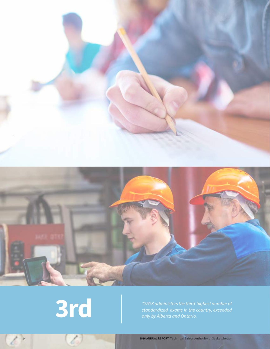

**37 TSASK administers the third highest number of**<br>**37 Archives the standardized exams in the country, exceeded**<br>only by Alberta and Ontario. *only by Alberta and Ontario.*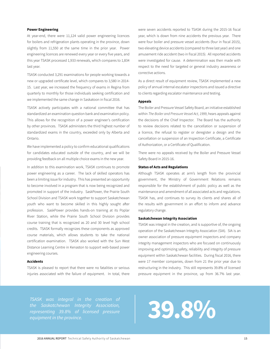### **Power Engineering**

At year-end, there were 11,124 valid power engineering licences for boilers and refrigeration plants operating in the province, down slightly from 11,550 at the same time in the prior year. Power engineering licences are renewed every year or every five years, and this year TSASK processed 1,933 renewals, which compares to 1,834 last year.

TSASK conducted 3,291 examinations for people working towards a new or upgraded certificate level, which compares to 3,580 in 2014- 15. Last year, we increased the frequency of exams in Regina from quarterly to monthly for those individuals seeking certification and we implemented the same change in Saskatoon in fiscal 2016.

TSASK actively participates with a national committee that has standardized an examination question bank and examination policy. This allows for the recognition of a power engineer's certification by other provinces. TSASK administers the third highest number of standardized exams in the country, exceeded only by Alberta and Ontario.

We have implemented a policy to confirm educational qualifications for candidates educated outside of the country, and we will be providing feedback on all multiple choice exams in the new year.

In addition to this examination work, TSASK continues to promote power engineering as a career. The lack of skilled operators has been a limiting issue for industry. This has presented an opportunity to become involved in a program that is now being recognized and promoted in support of the industry. SaskPower, the Prairie South School Division and TSASK work together to support Saskatchewan youth who want to become skilled in this highly sought after profession. SaskPower provides hands-on training at its Poplar River Station, while the Prairie South School Division provides course training that is recognized as 20 and 30 level high school credits. TSASK formally recognizes these components as approved course materials, which allows students to take the national certification examination. TSASK also worked with the Sun West Distance Learning Centre in Kenaston to support web-based power engineering courses.

### **Accidents**

TSASK is pleased to report that there were no fatalities or serious injuries associated with the failure of equipment. In total, there

were seven accidents reported to TSASK during the 2015-16 fiscal year, which is down from nine accidents the previous year. There were four boiler and pressure vessel accidents (four in fiscal 2015), two elevating device accidents (compared to three last year) and one amusement ride accident (two in fiscal 2015). All reported accidents were investigated for cause. A determination was then made with respect to the need for targeted or general industry awareness or corrective actions.

As a direct result of equipment review, TSASK implemented a new policy of annual internal escalator inspections and issued a directive to clients regarding escalator maintenance and testing.

### **Appeals**

The Boiler and Pressure Vessel Safety Board, an initiative established within *The Boiler and Pressure Vessel Act, 1999*, hears appeals against the decisions of the Chief Inspector. The Board has the authority to review decisions related to the cancellation or suspension of a licence, the refusal to register or deregister a design and the cancellation or suspension of an Inspection Certificate, a Certificate of Authorization, or a Certificate of Qualification.

There were no appeals received by the Boiler and Pressure Vessel Safety Board in 2015-16.

### **Status of Acts and Regulations**

Although TSASK operates at arm's length from the provincial government, the Ministry of Government Relations remains responsible for the establishment of public policy as well as the maintenance and amendment of all associated acts and regulations. TSASK has, and continues to survey its clients and shares all of the results with government in an effort to inform and advance regulatory change.

### **Saskatchewan Integrity Association**

TSASK was integral in the creation, and is supportive of, the ongoing operation of the Saskatchewan Integrity Association (SIA). SIA is an owner association of pressure equipment inspectors and company integrity management inspectors who are focused on continuously improving and optimizing safety, reliability and integrity of pressure equipment within Saskatchewan facilities. During fiscal 2016, there were 17 member companies, down from 21 the prior year due to restructuring in the industry. This still represents 39.8% of licensed pressure equipment in the province, up from 36.7% last year.

TSASK was integral in the creation of<br>the Saskatchewan Integrity Association,<br>representing 39.8% of licensed pressure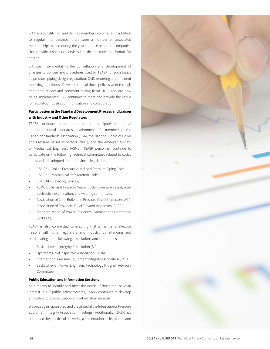SIA has a constitution and defined membership criteria. In addition to regular memberships, there were a number of associated memberships issued during the year to those people or companies that provide inspection services but do not meet the formal SIA criteria.

SIA was instrumental in the consultation and development of changes to policies and procedures used by TSASK for such topics as pressure piping design registration, QMS reporting, and incident reporting definitions. Developments of those policies went through additional review and comment during fiscal 2016, and are now being implemented. SIA continues to meet and provide the venue for regulator/industry communication and collaboration.

### **Participation in the Standard Development Process and Liaison with Industry and Other Regulators**

TSASK continues to contribute to, and participate in, national and international standards development. As members of the Canadian Standards Association (CSA), the National Board of Boiler and Pressure Vessel Inspectors (NBBI), and the American Society of Mechanical Engineers (ASME), TSASK personnel continue to participate on the following technical committees related to codes and standards adopted under provincial legislation:

- CSA B51 Boiler, Pressure Vessel and Pressure Piping Code;
- CSA B52 Mechanical Refrigeration Code;
- CSA B44 Elevating Devices;
- ASME Boiler and Pressure Vessel Code pressure vessel, nondestructive examination, and welding committees;
- Association of Chief Boiler and Pressure Vessel Inspectors (ACI);
- Association of Provincial Chief Elevator Inspectors (APCEI);
- Standardization of Power Engineers Examinations Committee (SOPEEC).

TSASK is also committed to ensuring that it maintains effective liaisons with other regulators and industry by attending and participating in the following associations and committees:

- Saskatchewan Integrity Association (SIA);
- Upstream Chief Inspectors Association (UCIA);
- International Pressure Equipment Integrity Association (IPEIA);
- Saskatchewan Power Engineers Technology Program Advisory Committee.

### **Public Education and Information Sessions**

As a means to identify and meet the needs of those that have an interest in our public safety systems, TSASK continues to develop and deliver public education and information sessions.

We once again sponsored and presented at the International Pressure Equipment Integrity Association meetings. Additionally, TSASK has continued the practice of delivering a presentation on legislation and

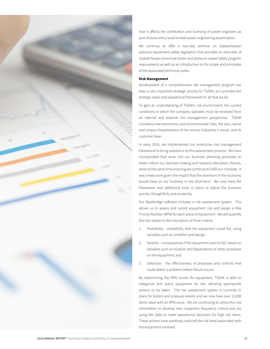

how it affects the certification and licensing of power engineers as part of every entry-level limited power engineering examination.

We continue to offer a two-day seminar on Saskatchewan pressure equipment safety legislation that provides an overview of Saskatchewan provincial boiler and pressure vessel safety program requirements as well as an introduction to the scope and principles of the associated technical codes.

### **Risk Management**

Development of a comprehensive risk management program has been a very important strategic priority for TSASK, as it provides the strategic basis and operational framework for all that we do.

To gain an understanding of TSASK's risk environment, the current conditions in which the company operates must be reviewed from an internal and external risk management perspective. TSASK considers macroeconomic and environmental risks, the size, nature and unique characteristics of the various industries it serves, and its customer base.

In early 2016, we implemented our enterprise risk management framework to bring substance to this assessment process. We have incorporated that work into our business planning processes to better inform our decision-making and resource allocation choices, while at the same time ensuring we continue to fulfill our mandate. It was timely work given the impact that the downturn in the economy would have on our business in the short-term. We now have the framework and additional tools in place to adjust the business quickly, thoughtfully and prudently.

Our Basebridge software includes a risk assessment system. This allows us to assess and record equipment risk and assign a Risk Priority Number (RPN) for each piece of equipment. We will quantify the risk, based on the calculation of three criteria:

- 1. Probability probability that the equipment could fail, using variables such as condition and design;
- 2. Severity consequences if the equipment were to fail, based on variables such as location and dependence of other processes on the equipment; and
- 3. Detection the effectiveness of processes and controls that could detect a problem before failure occurs.

By determining the RPN scores for equipment, TSASK is able to categorize and query equipment by risk, allowing appropriate actions to be taken. The risk assessment system is currently in place for boilers and pressure vessels and we now have over 15,000 items rated with an RPN score. We are continuing to utilize this risk information to develop new inspection frequency criteria and are using this data to make operational decisions for high risk items. These actions have positively reduced the risk level associated with the equipment involved.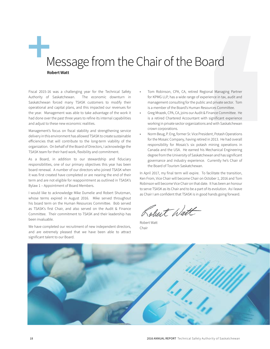### **+**Message from the Chair of the Board **Robert Watt**

Fiscal 2015-16 was a challenging year for the Technical Safety Authority of Saskatchewan. The economic downturn in Saskatchewan forced many TSASK customers to modify their operational and capital plans, and this impacted our revenues for the year. Management was able to take advantage of the work it had done over the past three years to refine its internal capabilities and adjust to these new economic realities.

Management's focus on fiscal stability and strengthening service delivery in this environment has allowed TSASK to create sustainable efficiencies that will contribute to the long-term viability of the organization. On behalf of the Board of Directors, I acknowledge the TSASK team for their hard work, flexibility and commitment.

As a Board, in addition to our stewardship and fiduciary responsibilities, one of our primary objectives this year has been board renewal. A number of our directors who joined TSASK when it was first created have completed or are nearing the end of their term and are not eligible for reappointment as outlined in TSASK's Bylaw 1 – Appointment of Board Members.

I would like to acknowledge Mike Dumelie and Robert Shutzman, whose terms expired in August 2016. Mike served throughout his board term on the Human Resources Committee. Bob served as TSASK's first Chair, and also served on the Audit & Finance Committee. Their commitment to TSASK and their leadership has been invaluable.

We have completed our recruitment of new independent directors, and are extremely pleased that we have been able to attract significant talent to our Board.

- Tom Robinson, CPA, CA, retired Regional Managing Partner for KPMG LLP, has a wide range of experience in tax, audit and management consulting for the public and private sector. Tom is a member of the Board's Human Resources Committee.
- Greg Mrazek, CPA, CA, joins our Audit & Finance Committee. He is a retired Chartered Accountant with significant experience working in private sector organizations and with Saskatchewan crown corporations.
- Norm Beug, P. Eng, former Sr. Vice President, Potash Operations for the Mosaic Company, having retired in 2013. He had overall responsibility for Mosaic's six potash mining operations in Canada and the USA. He earned his Mechanical Engineering degree from the University of Saskatchewan and has significant governance and industry experience. Currently he's Chair of the Board of Tourism Saskatchewan.

In April 2017, my final term will expire. To facilitate the transition, Ken From, Vice Chair will become Chair on October 1, 2016 and Tom Robinson will become Vice Chair on that date. It has been an honour to serve TSASK as its Chair and to be a part of its evolution. As I leave as Chair I am confident that TSASK is in good hands going forward.

Soleest Watt

Robert Watt Chair

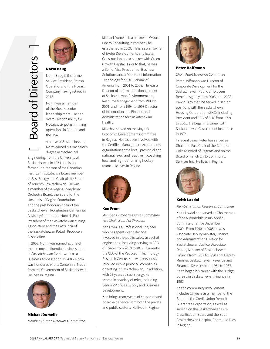

### Norm Beug

Norm Beug is the former Sr. Vice President, Potash Operations for the Mosaic Company having retired in 2013.

Norm was a member of the Mosaic senior leadership team. He had overall responsibility for Mosaic's six potash mining operations in Canada and the USA.

A native of Saskatchewan, Norm earned his Bachelor's degree in Mechanical

Engineering from the University of Saskatchewan in 1974. He is the former Chairperson of the Canadian Fertilizer Institute, is a board member of SaskEnergy and Chair of the Board of Tourism Saskatchewan. He was a member of the Regina Symphony Orchestra Board, the Board for the Hospitals of Regina Foundation and the past honorary chair of the Saskatchewan Roughriders Centennial Advisory Committee. Norm is Past President of the Saskatchewan Mining Association and the Past Chair of the Saskatchewan Potash Producers Association. **Marm Beug**<br>
Morm Beug is the former<br>
Sr. Vice President, Potash<br>
Operations for the Mosaic<br>
Company having retired ir<br>
Company having retired ir<br>
Company having retired ir<br>
education<br>
leadership team. He had<br>
overall resp

In 2002, Norm was named as one of the ten most influential business men in Saskatchewan for his work as a Business Ambassador. In 2005, Norm was honoured with a Centennial Medal from the Government of Saskatchewan. He lives in Regina.



Michael Dumelie

Michael Dumelie is a partner in Oxford Libero Consulting, a company he established in 2009. He is also an owner of Exeter Developments and Exeter Construction and a partner with Green Growth Capital. Prior to that, he was a Senior Vice President of Business Solutions and a Director of Information Technology for CUETS/Bank of America from 2001 to 2008. He was a Director of Information Management at Saskatchewan Environment and Resource Management from 1998 to 2001, and from 1994 to 1998 Director of Information and Finance and Administration for Saskatchewan Health.

Mike has served on the Mayor's Economic Development Committee in Regina. He has been involved with the Certified Management Accountants organization at the local, provincial and national level, and is active in coaching local and high-performing hockey teams. He lives in Regina.



Ken From

*Member: Human Resources Committee Vice Chair: Board of Directors*

Ken From is a Professional Engineer who has spent over a decade involved in the public safety aspect of engineering, including serving as CEO of TSASK from 2010 to 2012. Currently the CEO of the Petroleum Technology Research Centre, Ken was previously involved in two junior oil companies operating in Saskatchewan. In addition, with 26 years at SaskEnergy, Ken served in a variety of roles, including Senior VP of Gas Supply and Business Development.

Ken brings many years of corporate and board experience from both the private and public sectors. He lives in Regina.



Peter Hoffmann

*Chair: Audit & Finance Committee*

Peter Hoffmann was Director of Corporate Development for the Saskatchewan Public Employees Benefits Agency from 2003 until 2008. Previous to that, he served in senior positions with the Saskatchewan Housing Corporation (SHC), including President and CEO of SHC from 1999 to 2001. He began his career with Saskatchewan Government Insurance in 1974.

In recent years, Peter has served as Chair and Past Chair of the Campion College Board of Regents and on the Board of Ranch Ehrlo Community Services Inc. He lives in Regina.



Keith Laxdal

*Member: Human Resources Committee*

Keith Laxdal has served as Chairperson of the Automobile Injury Appeal Commission since December 2009. From 1990 to 2008 he was Associate Deputy Minister, Finance and Administration Division for Saskatchewan Justice, Associate Deputy Minister of Saskatchewan Finance from 1987 to 1990 and Deputy Minister, Saskatchewan Revenue and Financial Services from 1984 to 1987. Keith began his career with the Budget Bureau in Saskatchewan Finance in 1967.

Keith's community involvement includes 17 years as a member of the Board of the Credit Union Deposit Guarantee Corporation, as well as serving on the Saskatchewan Film Classification Board and the South Saskatchewan Hospital Board. He lives in Regina.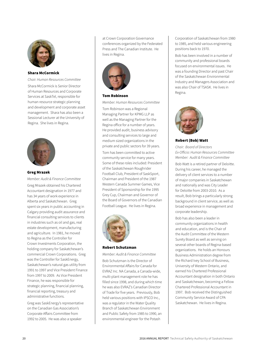

### Shara McCormick

*Chair: Human Resources Committee* Shara McCormick is Senior Director of Human Resources and Corporate Services at SaskTel, responsible for human resource strategic planning and development and corporate asset management. Shara has also been a Sessional Lecturer at the University of Regina. She lives in Regina.



### Greg Mrazek

*Member: Audit & Finance Committee*

Greg Mrazek obtained his Chartered Accountant designation in 1977 and has 34 years of work experience in Alberta and Saskatchewan. Greg spent six years in public accounting in Calgary providing audit assurance and financial consulting services to clients in industries such as oil and gas, real estate development, manufacturing and agriculture. In 1981, he moved to Regina as the Controller for Crown Investments Corporation, the holding company for Saskatchewan's commercial Crown Corporations. Greg was the Controller for SaskEnergy, Saskatchewan's natural gas utility from 1991 to 1997 and Vice President Finance from 1997 to 2009. As Vice President Finance, he was responsible for strategic planning, financial planning, financial reporting, treasury and administrative functions.

Greg was SaskEnergy's representative on the Canadian Gas Association's Corporate Affairs Committee from 1992 to 2005. He was also a speaker

at Crown Corporation Governance conferences organized by the Federated Press and The Canadian Institute. He lives in Regina.



Tom Robinson

*Member: Human Resources Committee*

Tom Robinson was a Regional Managing Partner for KPMG LLP as well as the Managing Partner for the Regina office for a number of years. He provided audit, business advisory and consulting services to large and medium sized organizations in the private and public sectors for 39 years. Tom has been committed to active community service for many years. Some of these roles included: President of the Saskatchewan Roughrider Football Club, President of SaskSport, Chairman and President of the 1987 Western Canada Summer Games, Vice President of Sponsorship for the 1995 Grey Cup, Chairman and Governor of the Board of Governors of the Canadian Football League. He lives in Regina.



Robert Schutzman

*Member: Audit & Finance Committee*  Bob Schutzman is the Director of Environmental Affairs for Canada for EVRAZ Inc. NA Canada, a Canada-wide, multi-plant management role he has filled since 1998, and during which time he was also EVRAZ's Canadian Director of Trade for five years. Previously, Bob held various positions with IPSCO Inc., was a regulator in the Water Quality Branch of Saskatchewan Environment and Public Safety from 1985 to 1990, an environmental engineer for the Potash

Corporation of Saskatchewan from 1980 to 1985, and held various engineering positions back to 1970.

Bob has been involved in a number of community and professional boards focused on environmental issues. He was a founding Director and past Chair of the Saskatchewan Environmental Industry and Managers Association and was also Chair of TSASK. He lives in Regina.



Robert (Bob) Watt

*Chair: Board of Directors Ex-Officio: Human Resources Committee Member: Audit & Finance Committee* Bob Watt is a retired partner of Deloitte. During his career, he managed the delivery of client services to a number of major companies in Saskatchewan and nationally and was City Leader for Deloitte from 2003-2010. As a result, Bob brings a particularly strong background in client service, as well as broad experience in management and corporate leadership.

Bob has also been a leader in community organizations in health and education, and is the Chair of the Audit Committee of the Western Surety Board as well as serving on several other boards of Regina-based organizations. He holds an Honours Business Administration degree from the Richard Ivey School of Business, University of Western Ontario, and earned his Chartered Professional Accountant designation in both Ontario and Saskatchewan, becoming a Fellow Chartered Professional Accountant in 1997. Bob received the Distinguished Community Service Award of CPA Saskatchewan. He lives in Regina.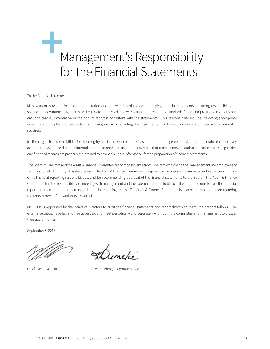### Management's Responsibility for the Financial Statements

To the Board of Directors:

Management is responsible for the preparation and presentation of the accompanying financial statements, including responsibility for significant accounting judgements and estimates in accordance with Canadian accounting standards for not-for-profit organizations and ensuring that all information in the annual report is consistent with the statements. This responsibility includes selecting appropriate accounting principles and methods, and making decisions affecting the measurement of transactions in which objective judgement is required.

In discharging its responsibilities for the integrity and fairness of the financial statements, management designs and maintains the necessary accounting systems and related internal controls to provide reasonable assurance that transactions are authorized, assets are safeguarded and financial records are properly maintained to provide reliable information for the preparation of financial statements.

The Board of Directors and the Audit & Finance Committee are composed entirely of Directors who are neither management nor employees of Technical Safety Authority of Saskatchewan. The Audit & Finance Committee is responsible for overseeing management in the performance of its financial reporting responsibilities, and for recommending approval of the financial statements to the Board. The Audit & Finance Committee has the responsibility of meeting with management and the external auditors to discuss the internal controls over the financial reporting process, auditing matters and financial reporting issues. The Audit & Finance Committee is also responsible for recommending the appointment of the Authority's external auditors.

MNP LLP, is appointed by the Board of Directors to audit the financial statements and report directly to them; their report follows. The external auditors have full and free access to, and meet periodically and separately with, both the committee and management to discuss their audit findings.

September 8, 2016

7g.

\_\_\_\_\_\_\_\_\_\_\_\_\_\_\_\_\_\_\_\_\_\_\_\_\_\_\_\_ \_\_\_\_\_\_\_\_\_\_\_\_\_\_\_\_\_\_\_\_\_\_\_\_\_\_\_\_

Chief Executive Officer Vice President, Corporate Services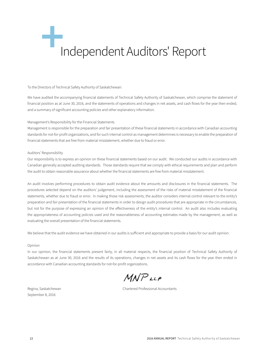# Independent Auditors' Report

### To the Directors of Technical Safety Authority of Saskatchewan:

We have audited the accompanying financial statements of Technical Safety Authority of Saskatchewan, which comprise the statement of financial position as at June 30, 2016, and the statements of operations and changes in net assets, and cash flows for the year then ended, and a summary of significant accounting policies and other explanatory information.

### Management's Responsibility for the Financial Statements

Management is responsible for the preparation and fair presentation of these financial statements in accordance with Canadian accounting standards for not-for-profit organizations, and for such internal control as management determines is necessary to enable the preparation of financial statements that are free from material misstatement, whether due to fraud or error.

### Auditors' Responsibility

Our responsibility is to express an opinion on these financial statements based on our audit. We conducted our audits in accordance with Canadian generally accepted auditing standards. Those standards require that we comply with ethical requirements and plan and perform the audit to obtain reasonable assurance about whether the financial statements are free from material misstatement.

An audit involves performing procedures to obtain audit evidence about the amounts and disclosures in the financial statements. The procedures selected depend on the auditors' judgement, including the assessment of the risks of material misstatement of the financial statements, whether due to fraud or error. In making those risk assessments, the auditor considers internal control relevant to the entity's preparation and fair presentation of the financial statements in order to design audit procedures that are appropriate in the circumstances, but not for the purpose of expressing an opinion of the effectiveness of the entity's internal control. An audit also includes evaluating the appropriateness of accounting policies used and the reasonableness of accounting estimates made by the management, as well as evaluating the overall presentation of the financial statements.

We believe that the audit evidence we have obtained in our audits is sufficient and appropriate to provide a basis for our audit opinion.

### Opinion

In our opinion, the financial statements present fairly, in all material respects, the financial position of Technical Safety Authority of Saskatchewan as at June 30, 2016 and the results of its operations, changes in net assets and its cash flows for the year then ended in accordance with Canadian accounting standards for not-for-profit organizations.

 $MNP$ LLP

September 8, 2016

Regina, Saskatchewan Chartered Professional Accountants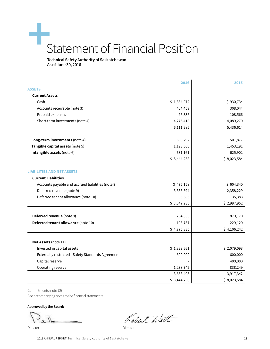## **+**Statement of Financial Position

**Technical Safety Authority of Saskatchewan As of June 30, 2016**

|                                                    | 2016        | 2015        |
|----------------------------------------------------|-------------|-------------|
| <b>ASSETS</b>                                      |             |             |
| <b>Current Assets</b>                              |             |             |
| Cash                                               | \$1,334,072 | \$930,734   |
| Accounts receivable (note 3)                       | 404,459     | 308,044     |
| Prepaid expenses                                   | 96,336      | 108,566     |
| Short-term investments (note 4)                    | 4,276,418   | 4,089,270   |
|                                                    | 6,111,285   | 5,436,614   |
| Long-term investments (note 4)                     | 503,292     | 507,877     |
| Tangible capital assets (note 5)                   | 1,198,500   | 1,453,191   |
| Intangible assets (note 6)                         | 631,161     | 625,902     |
|                                                    | \$8,444,238 | \$8,023,584 |
| <b>LIABILITIES AND NET ASSETS</b>                  |             |             |
| <b>Current Liabilities</b>                         |             |             |
| Accounts payable and accrued liabilities (note 8)  | \$475,158   | \$604,340   |
| Deferred revenue (note 9)                          | 3,336,694   | 2,358,229   |
| Deferred tenant allowance (note 10)                | 35,383      | 35,383      |
|                                                    | \$3,847,235 | \$2,997,952 |
| Deferred revenue (note 9)                          | 734,863     | 879,170     |
| Deferred tenant allowance (note 10)                | 193,737     | 229,120     |
|                                                    | \$4,775,835 | \$4,106,242 |
| Net Assets (note 11)                               |             |             |
| Invested in capital assets                         | \$1,829,661 | \$2,079,093 |
| Externally restricted - Safety Standards Agreement | 600,000     | 600,000     |
| Capital reserve                                    |             | 400,000     |
| Operating reserve                                  | 1,238,742   | 838,249     |
|                                                    | 3,668,403   | 3,917,342   |
|                                                    | \$8,444,238 | \$8,023,584 |

Commitments (note 12)

See accompanying notes to the financial statements.

**Approved by the Board:**

Director **Director** Director

Lobert Watt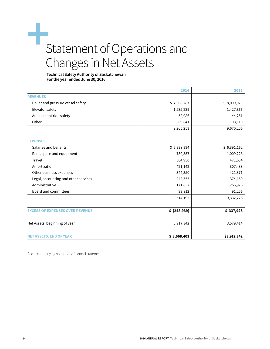### **+**<br>Statement of Operations and Changes in Net Assets

**Technical Safety Authority of Saskatchewan For the year ended June 30, 2016**

|                                        | 2016         | 2015        |
|----------------------------------------|--------------|-------------|
| <b>REVENUES</b>                        |              |             |
| Boiler and pressure vessel safety      | \$7,608,287  | \$8,099,979 |
| Elevator safety                        | 1,535,239    | 1,427,866   |
| Amusement ride safety                  | 52,086       | 44,251      |
| Other                                  | 69,641       | 98,110      |
|                                        | 9,265,253    | 9,670,206   |
| <b>EXPENSES</b>                        |              |             |
| Salaries and benefits                  | \$6,998,994  | \$6,391,162 |
| Rent, space and equipment              | 730,557      | 1,009,226   |
| Travel                                 | 504,950      | 471,654     |
| Amortization                           | 421,142      | 307,483     |
| Other business expenses                | 344,350      | 421,371     |
| Legal, accounting and other services   | 242,555      | 374,150     |
| Administrative                         | 171,832      | 265,976     |
| <b>Board and committees</b>            | 99,812       | 91,256      |
|                                        | 9,514,192    | 9,332,278   |
| <b>EXCESS OF EXPENSES OVER REVENUE</b> | \$ (248,939) | \$337,928   |
| Net Assets, beginning of year          | 3,917,342    | 3,579,414   |
| <b>NET ASSETS, END OF YEAR</b>         | \$3,668,403  | \$3,917,342 |

See accompanying notes to the financial statements.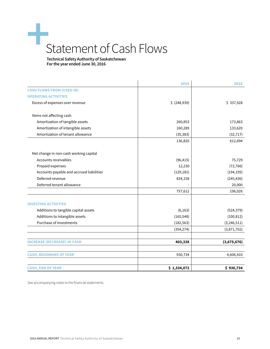# **+**<br>
Statement of Cash Flows<br> **Technical Safety Authority of Saskatchewan**

**For the year ended June 30, 2016**

|                                          | 2016          | 2015          |
|------------------------------------------|---------------|---------------|
| <b>CASH FLOWS FROM (USED IN)</b>         |               |               |
| <b>OPERATING ACTIVITIES</b>              |               |               |
| Excess of expenses over revenue          | $$$ (248,939) | \$337,928     |
| Items not affecting cash                 |               |               |
| Amortization of tangible assets          | 260,853       | 173,863       |
| Amortization of intangible assets        | 160,289       | 133,620       |
| Amortization of tenant allowance         | (35, 383)     | (32, 717)     |
|                                          | 136,820       | 612,694       |
| Net change in non-cash working capital   |               |               |
| Accounts receivables                     | (96, 415)     | 75,729        |
| Prepaid expenses                         | 12,230        | (72, 766)     |
| Accounts payable and accrued liabilities | (129, 181)    | (194, 195)    |
| Deferred revenue                         | 834,158       | (245, 436)    |
| Deferred tenant allowance                |               | 20,000        |
|                                          | 757,612       | 196,026       |
| <b>INVESTING ACTIVITIES</b>              |               |               |
| Additions to tangible capital assets     | (6, 163)      | (524, 379)    |
| Additions to intangible assets           | (165, 548)    | (100, 812)    |
| Purchase of investments                  | (182, 563)    | (3, 246, 511) |
|                                          | (354, 274)    | (3,871,702)   |
| <b>INCREASE (DECREASE) IN CASH</b>       | 403,338       | (3,675,676)   |
|                                          |               |               |
| <b>CASH, BEGINNING OF YEAR</b>           | 930,734       | 4,606,410     |
| <b>CASH, END OF YEAR</b>                 | \$1,334,072   | \$930,734     |

See accompanying notes to the financial statements.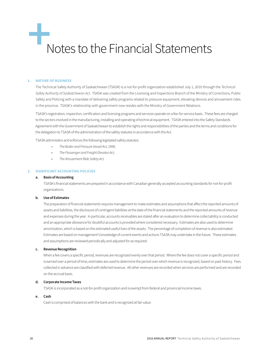### **1. NATURE OF BUSINESS**

The Technical Safety Authority of Saskatchewan (TSASK) is a not-for-profit organization established July 1, 2010 through the *Technical Safety Authority of Saskatchewan Act*. TSASK was created from the Licensing and Inspections Branch of the Ministry of Corrections, Public Safety and Policing with a mandate of delivering safety programs related to pressure equipment, elevating devices and amusement rides in the province. TSASK's relationship with government now resides with the Ministry of Government Relations.

TSASK's registration, inspection, certification and licensing programs and services operate on a fee-for-service basis. These fees are charged to the sectors involved in the manufacturing, installing and operating of technical equipment. TSASK entered into the Safety Standards Agreement with the Government of Saskatchewan to establish the rights and responsibilities of the parties and the terms and conditions for the delegation to TSASK of the administration of the safety statutes in accordance with the Act.

TSASK administers and enforces the following legislated safety statutes:

- • *The Boiler and Pressure Vessel Act, 1999;*
- The Passenger and Freight Elevator Act;
- **The Amusement Ride Safety Act.**

### **2. significant accounting policies**

### **a. Basis of Accounting**

TSASK's financial statements are prepared in accordance with Canadian generally accepted accounting standards for not-for-profit organizations.

### **b. Use of Estimates**

The preparation of financial statements requires management to make estimates and assumptions that affect the reported amounts of assets and liabilities, the disclosure of contingent liabilities at the date of the financial statements and the reported amounts of revenue and expenses during the year. In particular, accounts receivables are stated after an evaluation to determine collectability is conducted and an appropriate allowance for doubtful accounts is provided where considered necessary. Estimates are also used to determine amortization, which is based on the estimated useful lives of the assets. The percentage of completion of revenue is also estimated. Estimates are based on management's knowledge of current events and actions TSASK may undertake in the future. These estimates and assumptions are reviewed periodically and adjusted for as required.

### **c. Revenue Recognition**

When a fee covers a specific period, revenues are recognized evenly over that period. Where the fee does not cover a specific period and is earned over a period of time, estimates are used to determine the period over which revenue is recognized, based on past history. Fees collected in advance are classified with deferred revenue. All other revenues are recorded when services are performed and are recorded on the accrual basis.

### **d. Corporate Income Taxes**

TSASK is incorporated as a not-for-profit organization and is exempt from federal and provincial income taxes.

### **e. Cash**

Cash is comprised of balances with the bank and is recognized at fair value.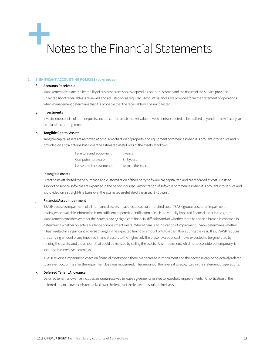### **2. significant accounting policies (continued)**

### **f. Accounts Receivable**

Management evaluates collectability of customer receivables depending on the customer and the nature of the service provided. Collectability of receivables is reviewed and adjusted for as required. Account balances are provided for in the statement of operations when management determines that it is probable that the receivable will be uncollected.

### **g. Investments**

Investments consist of term deposits and are carried at fair market value. Investments expected to be realized beyond the next fiscal year are classified as long-term.

### **h. Tangible Capital Assets**

Tangible capital assets are recorded at cost. Amortization of property and equipment commences when it is brought into service and is provided on a straight-line basis over the estimated useful lives of the assets as follows:

| Furniture and equipment | 7 years           |
|-------------------------|-------------------|
| Computer hardware       | $3 - 5$ years     |
| Leasehold improvements  | term of the lease |

### **i. Intangible Assets**

Direct costs attributed to the purchase and customization of third party software are capitalized and are recorded at cost. Costs to support or service software are expensed in the period incurred. Amortization of software commences when it is brought into service and is provided on a straight-line basis over the estimated useful life of the asset (3 - 5 years).

### **j. Financial Asset Impairment**

TSASK assesses impairment of all its financial assets measured at cost or amortized cost. TSASK groups assets for impairment testing when available information is not sufficient to permit identification of each individually impaired financial asset in the group. Management considers whether the issuer is having significant financial difficulty and/or whether there has been a breach in contract, in determining whether objective evidence of impairment exists. Where there is an indication of impairment, TSASK determines whether it has resulted in a significant adverse change in the expected timing or amount of future cash flows during the year. If so, TSASK reduces the carrying amount of any impaired financial assets to the highest of: the present value of cash flows expected to be generated by holding the assets; and the amount that could be realized by selling the assets. Any impairment, which is not considered temporary, is included in current year earnings.

TSASK reverses impairment losses on financial assets when there is a decrease in impairment and the decrease can be objectively related to an event occurring after the impairment loss was recognized. The amount of the reversal is recognized in the statement of operations.

### **k. Deferred Tenant Allowance**

Deferred tenant allowance includes amounts received in lease agreements related to leasehold improvements. Amortization of the deferred tenant allowance is recognized over the length of the lease on a straight-line basis.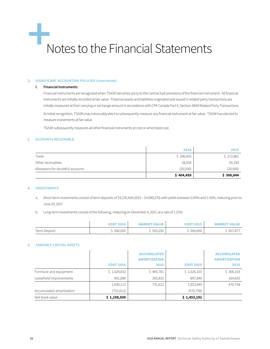### **2. significant accounting policies (continued)**

### **l. Financial Instruments**

Financial instruments are recognized when TSASK becomes party to the contractual provisions of the financial instrument. All financial instruments are initially recorded at fair value. Financial assets and liabilities originated and issued in related party transactions are initially measured at their carrying or exchange amount in accordance with CPA Canada Part II, Section 3840 Related Party Transactions.

At initial recognition, TSASK may irrevocably elect to subsequently measure any financial instrument at fair value. TSASK has elected to measure investments at fair value.

TSASK subsequently measures all other financial instruments at cost or amortized cost.

### **3. Accounts receivable**

| Allowance for doubtful accounts | (20,030)<br>\$404,459 | (20,000)<br>\$308,044 |
|---------------------------------|-----------------------|-----------------------|
| Other receivables               | 28,034                | 55,183                |
| Trade                           | \$396,455             | \$272,861             |
|                                 | 2016                  | 2015                  |

### **4. investments**

- a. Short-term investments consist of term deposits of \$4,276,418 (2015 \$4,089,270) with yields between 0.95% and 1.55%, maturing prior to June 29, 2017.
- b. Long-term investments consist of the following, maturing on December 4, 2017, at a rate of 1.15%:

|              | <b>COST 2016</b>            | <b>MARKET VALUE</b> | <b>COST 2015</b> | <b>MARKET VALUE</b> |
|--------------|-----------------------------|---------------------|------------------|---------------------|
| Term Deposit | $\hat{S}$ 500,000 $\hat{I}$ | \$503,292           | \$500,000        | 5.507,877           |

### **5. TANGIBLE CAPITAL ASSETS**

|                          |                  | <b>ACCUMULATED</b><br><b>AMORTIZATION</b> |                  | <b>ACCUMULATED</b><br><b>AMORTIZATION</b> |
|--------------------------|------------------|-------------------------------------------|------------------|-------------------------------------------|
|                          | <b>COST 2016</b> | 2016                                      | <b>COST 2015</b> | 2015                                      |
| Furniture and equipment  | \$1,029,032      | \$465,781                                 | \$1,026,103      | \$306,103                                 |
| Leasehold improvements   | 901,080          | 265,831                                   | 897,846          | 164,655                                   |
|                          | 1,930,112        | 731,612                                   | 1,923,949        | 470,758                                   |
| Accumulated amortization | (731, 612)       |                                           | (470, 758)       |                                           |
| Net book value           | \$1,198,500      |                                           | \$1,453,191      |                                           |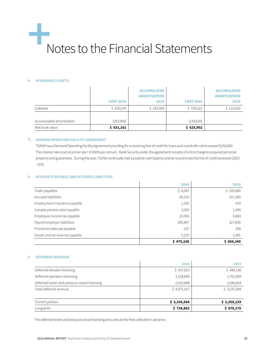### **6. INTANGIBLE ASSETS**

|                          | <b>COST 2016</b> | <b>ACCUMULATED</b><br><b>AMORTIZATION</b><br>2016 | <b>COST 2015</b> | <b>ACCUMULATED</b><br><b>AMORTIZATION</b><br>2015 |
|--------------------------|------------------|---------------------------------------------------|------------------|---------------------------------------------------|
| Software                 | \$925,070        | \$293,909                                         | \$759,522        | \$133,620                                         |
|                          |                  |                                                   |                  |                                                   |
| Accumulated amortization | (293,909)        |                                                   | (133, 620)       |                                                   |
| Net book value           | \$631,161        |                                                   | \$625,902        |                                                   |

### **7. demand operating facility agreement**

TSASK has a Demand Operating Facility Agreement providing for a revolving line of credit for loans and overdrafts not to exceed \$250,000. The interest rate is set at prime rate + 0.500% per annum. Bank Security under the agreement consists of a first charge to acquired personal property and guarantees. During the year, TSASK continually had a positive cash balance and at no point was the line of credit accessed (2015 - \$nil).

### **8. accounts payable and accrued liabilities**

|                                | 2016      | 2015      |
|--------------------------------|-----------|-----------|
| Trade payables                 | \$8,047   | \$105,684 |
| Accrued liabilities            | 49,310    | 157,280   |
| Employment insurance payable   | 1,185     | 419       |
| Canada pension plan payable    | 3,053     | 1,399     |
| Employee income tax payable    | 19,356    | 9,883     |
| Payroll employer liabilities   | 390,847   | 327,836   |
| Provincial sales tax payable   | 237       | 358       |
| Goods and services tax payable | 3,123     | 1,481     |
|                                | \$475,158 | \$604,340 |

### **9. deferred revenue**

|                                               | 2016        | 2015        |
|-----------------------------------------------|-------------|-------------|
| Deferred elevator licensing                   | \$537,013   | \$489,136   |
| Deferred operators licensing                  | 1,518,646   | 1,701,609   |
| Deferred boiler and pressure vessel licensing | 2,015,898   | 1,046,654   |
| Total deferred revenue                        | \$4,071,557 | \$3,237,399 |
|                                               |             |             |
| Current portion                               | \$3,336,694 | \$2,358,229 |
| Long-term                                     | \$734,863   | \$879,170   |

The deferred boiler and pressure vessel licensing amounts are for fees collected in advance.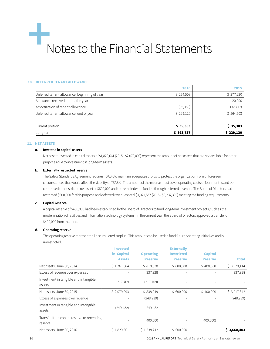### **10. deferred tenant allowance**

|                                              | 2016      | 2015      |
|----------------------------------------------|-----------|-----------|
| Deferred tenant allowance, beginning of year | \$264,503 | \$277,220 |
| Allowance received during the year           |           | 20,000    |
| Amortization of tenant allowance             | (35, 383) | (32, 717) |
| Deferred tenant allowance, end of year       | \$229,120 | \$264,503 |
|                                              |           |           |
| Current portion                              | \$35,383  | \$35,383  |
| Long-term                                    | \$193,737 | \$229,120 |

### **11. net assets**

### **a. Invested in capital assets**

Net assets invested in capital assets of \$1,829,661 (2015 - \$2,079,093) represent the amount of net assets that are not available for other purposes due to investment in long-term assets.

### **b. Externally restricted reserve**

The Safety Standards Agreement requires TSASK to maintain adequate surplus to protect the organization from unforeseen circumstances that would affect the viability of TSASK. The amount of the reserve must cover operating costs of four months and be comprised of a restricted net asset of \$600,000 and the remainder be funded through deferred revenue. The Board of Directors had restricted \$600,000 for this purpose and deferred revenues total \$4,071,557 (2015 - \$3,237,399) meeting the funding requirements.

### **c. Capital reserve**

A capital reserve of \$400,000 had been established by the Board of Directors to fund long-term investment projects, such as the modernization of facilities and information technology systems. In the current year, the Board of Directors approved a transfer of \$400,000 from this fund.

### **d. Operating reserve**

The operating reserve represents all accumulated surplus. This amount can be used to fund future operating initiatives and is unrestricted.

|                                                       | <b>Invested</b><br>in Capital<br><b>Assets</b> | <b>Operating</b><br><b>Reserve</b> | <b>Externally</b><br><b>Restricted</b><br><b>Reserve</b> | <b>Capital</b><br><b>Reserve</b> | <b>Total</b> |
|-------------------------------------------------------|------------------------------------------------|------------------------------------|----------------------------------------------------------|----------------------------------|--------------|
| Net assets, June 30, 2014                             | \$1,761,384                                    | \$818,030                          | \$600,000                                                | \$400,000                        | \$3,579,414  |
| Excess of revenue over expenses                       |                                                | 337,928                            |                                                          |                                  | 337,928      |
| Investment in tangible and intangible<br>assets       | 317,709                                        | (317,709)                          |                                                          |                                  |              |
| Net assets, June 30, 2015                             | \$2,079,093                                    | \$838,249                          | \$600,000                                                | \$400,000                        | \$3,917,342  |
| Excess of expenses over revenue                       |                                                | (248, 939)                         |                                                          |                                  | (248,939)    |
| Investment in tangible and intangible<br>assets       | (249, 432)                                     | 249,432                            |                                                          |                                  |              |
| Transfer from capital reserve to operating<br>reserve |                                                | 400,000                            |                                                          | (400,000)                        |              |
| Net assets, June 30, 2016                             | \$1,829,661                                    | \$1,238,742                        | \$600,000                                                |                                  | \$3,668,403  |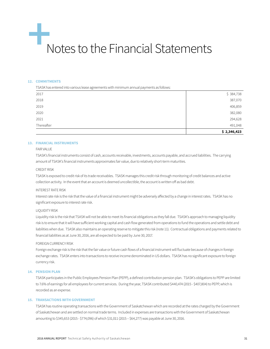### **12. commitments**

TSASK has entered into various lease agreements with minimum annual payments as follows:

|            | \$2,346,423 |
|------------|-------------|
| Thereafter | 491,048     |
| 2021       | 294,628     |
| 2020       | 382,080     |
| 2019       | 406,859     |
| 2018       | 387,070     |
| 2017       | \$384,738   |

### **13. financial instruments**

### FAIR VALUE

TSASK's financial instruments consist of cash, accounts receivable, investments, accounts payable, and accrued liabilities. The carrying amount of TSASK's financial instruments approximates fair value, due to relatively short-term maturities.

### CREDIT RISK

TSASK is exposed to credit risk of its trade receivables. TSASK manages this credit risk through monitoring of credit balances and active collection activity. In the event that an account is deemed uncollectible, the account is written off as bad debt.

### INTEREST RATE RISK

Interest rate risk is the risk that the value of a financial instrument might be adversely affected by a change in interest rates. TSASK has no significant exposure to interest rate risk.

### LIQUIDITY RISK

Liquidity risk is the risk that TSASK will not be able to meet its financial obligations as they fall due. TSASK's approach to managing liquidity risk is to ensure that it will have sufficient working capital and cash flow generated from operations to fund the operations and settle debt and liabilities when due. TSASK also maintains an operating reserve to mitigate this risk (note 11). Contractual obligations and payments related to financial liabilities as at June 30, 2016, are all expected to be paid by June 30, 2017.

### FOREIGN CURRENCY RISK

Foreign exchange risk is the risk that the fair value or future cash flows of a financial instrument will fluctuate because of changes in foreign exchange rates. TSASK enters into transactions to receive income denominated in US dollars. TSASK has no significant exposure to foreign currency risk.

### **14. pension plan**

TSASK participates in the Public Employees Pension Plan (PEPP), a defined contribution pension plan. TSASK's obligations to PEPP are limited to 7.6% of earnings for all employees for current services. During the year, TSASK contributed \$440,474 (2015 - \$407,804) to PEPP, which is recorded as an expense.

### **15. transactions with government**

TSASK has routine operating transactions with the Government of Saskatchewan which are recorded at the rates charged by the Government of Saskatchewan and are settled on normal trade terms. Included in expenses are transactions with the Government of Saskatchewan amounting to \$345,653 (2015 - \$774,096) of which \$31,011 (2015 – \$64,277) was payable at June 30, 2016.